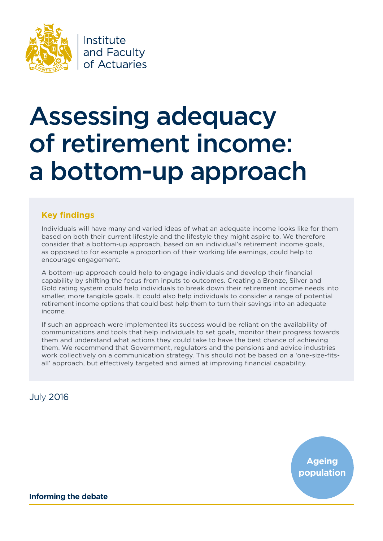

Institute and Faculty of Actuaries

# Assessing adequacy of retirement income: a bottom-up approach

### **Key findings**

Individuals will have many and varied ideas of what an adequate income looks like for them based on both their current lifestyle and the lifestyle they might aspire to. We therefore consider that a bottom-up approach, based on an individual's retirement income goals, as opposed to for example a proportion of their working life earnings, could help to encourage engagement.

A bottom-up approach could help to engage individuals and develop their financial capability by shifting the focus from inputs to outcomes. Creating a Bronze, Silver and Gold rating system could help individuals to break down their retirement income needs into smaller, more tangible goals. It could also help individuals to consider a range of potential retirement income options that could best help them to turn their savings into an adequate income.

If such an approach were implemented its success would be reliant on the availability of communications and tools that help individuals to set goals, monitor their progress towards them and understand what actions they could take to have the best chance of achieving them. We recommend that Government, regulators and the pensions and advice industries work collectively on a communication strategy. This should not be based on a 'one-size-fitsall' approach, but effectively targeted and aimed at improving financial capability.

### July 2016

**Ageing population**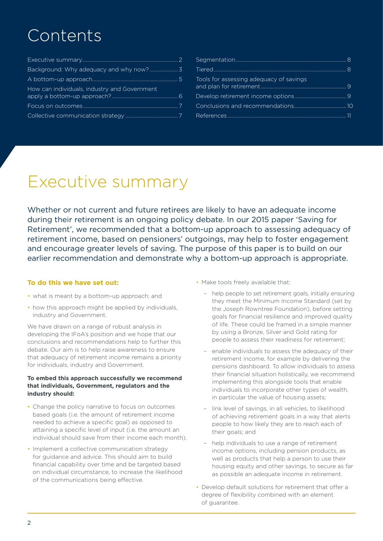## Contents

| How can individuals, industry and Government |  |
|----------------------------------------------|--|
|                                              |  |
|                                              |  |

| Tools for assessing adequacy of savings |  |
|-----------------------------------------|--|
|                                         |  |
|                                         |  |
|                                         |  |

## Executive summary

Whether or not current and future retirees are likely to have an adequate income during their retirement is an ongoing policy debate. In our 2015 paper 'Saving for Retirement', we recommended that a bottom-up approach to assessing adequacy of retirement income, based on pensioners' outgoings, may help to foster engagement and encourage greater levels of saving. The purpose of this paper is to build on our earlier recommendation and demonstrate why a bottom-up approach is appropriate.

### **To do this we have set out:**

- what is meant by a bottom-up approach; and
- how this approach might be applied by individuals, industry and Government.

We have drawn on a range of robust analysis in developing the IFoA's position and we hope that our conclusions and recommendations help to further this debate. Our aim is to help raise awareness to ensure that adequacy of retirement income remains a priority for individuals, industry and Government.

### **To embed this approach successfully we recommend that individuals, Government, regulators and the industry should:**

- Change the policy narrative to focus on outcomes based goals (i.e. the amount of retirement income needed to achieve a specific goal) as opposed to attaining a specific level of input (i.e. the amount an individual should save from their income each month).
- Implement a collective communication strategy for guidance and advice. This should aim to build financial capability over time and be targeted based on individual circumstance, to increase the likelihood of the communications being effective.
- Make tools freely available that:
	- help people to set retirement goals, initially ensuring they meet the Minimum Income Standard (set by the Joseph Rowntree Foundation), before setting goals for financial resilience and improved quality of life. These could be framed in a simple manner by using a Bronze, Silver and Gold rating for people to assess their readiness for retirement;
	- enable individuals to assess the adequacy of their retirement income, for example by delivering the pensions dashboard. To allow individuals to assess their financial situation holistically, we recommend implementing this alongside tools that enable individuals to incorporate other types of wealth, in particular the value of housing assets;
	- link level of savings, in all vehicles, to likelihood of achieving retirement goals in a way that alerts people to how likely they are to reach each of their goals; and
	- help individuals to use a range of retirement income options, including pension products, as well as products that help a person to use their housing equity and other savings, to secure as far as possible an adequate income in retirement.
- Develop default solutions for retirement that offer a degree of flexibility combined with an element of guarantee.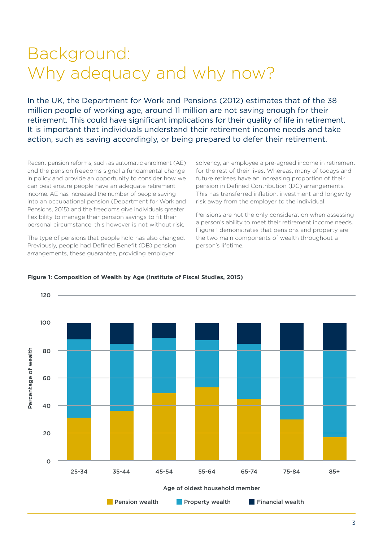## Background: Why adequacy and why now?

In the UK, the Department for Work and Pensions (2012) estimates that of the 38 million people of working age, around 11 million are not saving enough for their retirement. This could have significant implications for their quality of life in retirement. It is important that individuals understand their retirement income needs and take action, such as saving accordingly, or being prepared to defer their retirement.

Recent pension reforms, such as automatic enrolment (AE) and the pension freedoms signal a fundamental change in policy and provide an opportunity to consider how we can best ensure people have an adequate retirement income. AE has increased the number of people saving into an occupational pension (Department for Work and Pensions, 2015) and the freedoms give individuals greater flexibility to manage their pension savings to fit their personal circumstance, this however is not without risk.

The type of pensions that people hold has also changed. Previously, people had Defined Benefit (DB) pension arrangements, these guarantee, providing employer

solvency, an employee a pre-agreed income in retirement for the rest of their lives. Whereas, many of todays and future retirees have an increasing proportion of their pension in Defined Contribution (DC) arrangements. This has transferred inflation, investment and longevity risk away from the employer to the individual.

Pensions are not the only consideration when assessing a person's ability to meet their retirement income needs. Figure 1 demonstrates that pensions and property are the two main components of wealth throughout a person's lifetime.



### **Figure 1: Composition of Wealth by Age (Institute of Fiscal Studies, 2015)**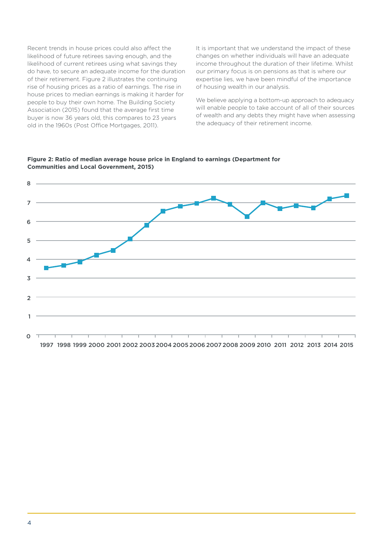Recent trends in house prices could also affect the likelihood of future retirees saving enough, and the likelihood of current retirees using what savings they do have, to secure an adequate income for the duration of their retirement. Figure 2 illustrates the continuing rise of housing prices as a ratio of earnings. The rise in house prices to median earnings is making it harder for people to buy their own home. The Building Society Association (2015) found that the average first time buyer is now 36 years old, this compares to 23 years old in the 1960s (Post Office Mortgages, 2011).

It is important that we understand the impact of these changes on whether individuals will have an adequate income throughout the duration of their lifetime. Whilst our primary focus is on pensions as that is where our expertise lies, we have been mindful of the importance of housing wealth in our analysis.

We believe applying a bottom-up approach to adequacy will enable people to take account of all of their sources of wealth and any debts they might have when assessing the adequacy of their retirement income.



**Figure 2: Ratio of median average house price in England to earnings (Department for Communities and Local Government, 2015)**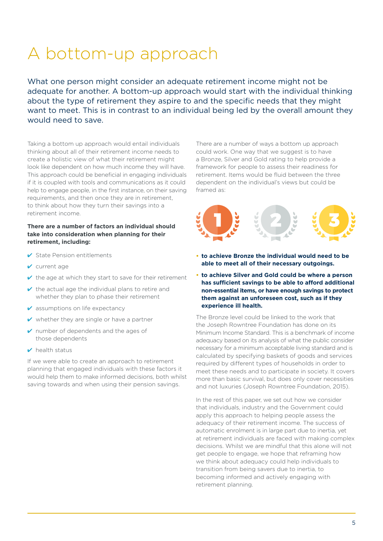## A bottom-up approach

What one person might consider an adequate retirement income might not be adequate for another. A bottom-up approach would start with the individual thinking about the type of retirement they aspire to and the specific needs that they might want to meet. This is in contrast to an individual being led by the overall amount they would need to save.

Taking a bottom up approach would entail individuals thinking about all of their retirement income needs to create a holistic view of what their retirement might look like dependent on how much income they will have. This approach could be beneficial in engaging individuals if it is coupled with tools and communications as it could help to engage people, in the first instance, on their saving requirements, and then once they are in retirement, to think about how they turn their savings into a retirement income.

### **There are a number of factors an individual should take into consideration when planning for their retirement, including:**

- $\checkmark$  State Pension entitlements
- ✔ current age
- $\vee$  the age at which they start to save for their retirement
- $\vee$  the actual age the individual plans to retire and whether they plan to phase their retirement
- $\vee$  assumptions on life expectancy
- $\vee$  whether they are single or have a partner
- ✔ number of dependents and the ages of those dependents
- $\triangleright$  health status

If we were able to create an approach to retirement planning that engaged individuals with these factors it would help them to make informed decisions, both whilst saving towards and when using their pension savings.

There are a number of ways a bottom up approach could work. One way that we suggest is to have a Bronze, Silver and Gold rating to help provide a framework for people to assess their readiness for retirement. Items would be fluid between the three dependent on the individual's views but could be framed as:



- **• to achieve Bronze the individual would need to be able to meet all of their necessary outgoings.**
- **• to achieve Silver and Gold could be where a person has sufficient savings to be able to afford additional non-essential items, or have enough savings to protect them against an unforeseen cost, such as if they experience ill health.**

The Bronze level could be linked to the work that the Joseph Rowntree Foundation has done on its Minimum Income Standard. This is a benchmark of income adequacy based on its analysis of what the public consider necessary for a minimum acceptable living standard and is calculated by specifying baskets of goods and services required by different types of households in order to meet these needs and to participate in society. It covers more than basic survival, but does only cover necessities and not luxuries (Joseph Rowntree Foundation, 2015).

In the rest of this paper, we set out how we consider that individuals, industry and the Government could apply this approach to helping people assess the adequacy of their retirement income. The success of automatic enrolment is in large part due to inertia, yet at retirement individuals are faced with making complex decisions. Whilst we are mindful that this alone will not get people to engage, we hope that reframing how we think about adequacy could help individuals to transition from being savers due to inertia, to becoming informed and actively engaging with retirement planning.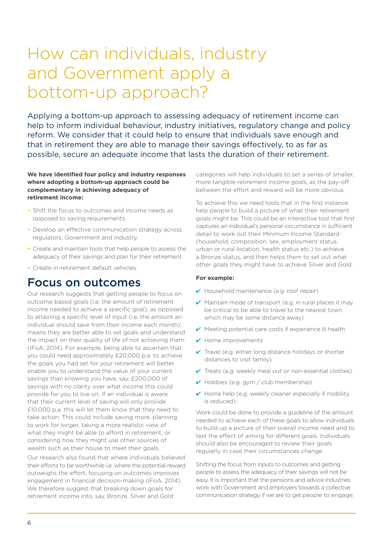## How can individuals, industry and Government apply a bottom-up approach?

Applying a bottom-up approach to assessing adequacy of retirement income can help to inform individual behaviour, industry initiatives, regulatory change and policy reform. We consider that it could help to ensure that individuals save enough and that in retirement they are able to manage their savings effectively, to as far as possible, secure an adequate income that lasts the duration of their retirement.

### **We have identified four policy and industry responses where adopting a bottom-up approach could be complementary in achieving adequacy of retirement income:**

- Shift the focus to outcomes and income needs as opposed to saving requirements.
- Develop an effective communication strategy across regulators, Government and industry.
- Create and maintain tools that help people to assess the adequacy of their savings and plan for their retirement.
- Create in-retirement default vehicles.

### Focus on outcomes

Our research suggests that getting people to focus on outcome based goals (i.e. the amount of retirement income needed to achieve a specific goal), as opposed to attaining a specific level of input (i.e. the amount an individual should save from their income each month), means they are better able to set goals and understand the impact on their quality of life of not achieving them (IFoA, 2014). For example, being able to ascertain that you could need approximately £20,000 p.a. to achieve the goals you had set for your retirement will better enable you to understand the value of your current savings than knowing you have, say, £200,000 of savings with no clarity over what income this could provide for you to live on. If an individual is aware that their current level of saving will only provide £10,000 p.a. this will let them know that they need to take action. This could include saving more, planning to work for longer, taking a more realistic view of what they might be able to afford in retirement, or considering how they might use other sources of wealth such as their house to meet their goals.

Our research also found that where individuals believed their efforts to be worthwhile i.e. where the potential reward outweighs the effort, focusing on outcomes improves engagement in financial decision-making (IFoA, 2014). We therefore suggest that breaking down goals for retirement income into, say, Bronze, Silver and Gold

categories will help individuals to set a series of smaller, more tangible retirement income goals, as the pay-off between the effort and reward will be more obvious.

To achieve this we need tools that in the first instance help people to build a picture of what their retirement goals might be. This could be an interactive tool that first captures an individual's personal circumstance in sufficient detail to work out their Minimum Income Standard (household, composition, sex, employment status, urban or rural location, health status etc.) to achieve a Bronze status, and then helps them to set out what other goals they might have to achieve Silver and Gold.

### **For example:**

- ✔ Household maintenance (e.g. roof repair)
- $\vee$  Maintain mode of transport (e.g. in rural places it may be critical to be able to travel to the nearest town, which may be some distance away)
- $\vee$  Meeting potential care costs if experience ill health
- ✔ Home improvements
- $\vee$  Travel (e.g. either long distance holidays or shorter distances to visit family)
- $\checkmark$  Treats (e.g. weekly meal out or non-essential clothes)
- ✔ Hobbies (e.g. gym / club membership)
- $\vee$  Home help (e.g. weekly cleaner especially if mobility is reduced)

Work could be done to provide a guideline of the amount needed to achieve each of these goals to allow individuals to build up a picture of their overall income need and to test the effect of aiming for different goals. Individuals should also be encouraged to review their goals regularly in case their circumstances change.

Shifting the focus from inputs to outcomes and getting people to assess the adequacy of their savings will not be easy. It is important that the pensions and advice industries work with Government and employers towards a collective communication strategy if we are to get people to engage.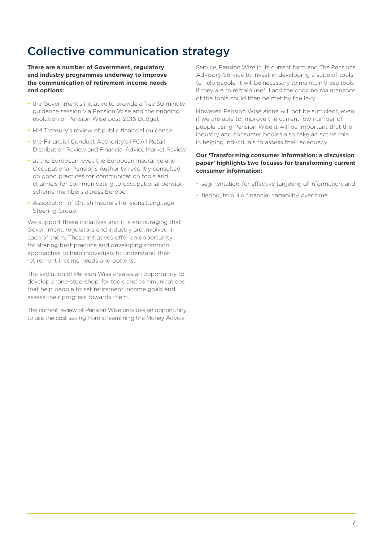### Collective communication strategy

**There are a number of Government, regulatory and industry programmes underway to improve the communication of retirement income needs and options:**

- the Government's initiative to provide a free 30 minute guidance session via Pension Wise and the ongoing evolution of Pension Wise post-2016 Budget
- HM Treasury's review of public financial guidance
- the Financial Conduct Authority's (FCA) Retail Distribution Review and Financial Advice Market Review
- at the European level, the European Insurance and Occupational Pensions Authority recently consulted on good practices for communication tools and channels for communicating to occupational pension scheme members across Europe
- Association of British Insurers Pensions Language Steering Group

We support these initiatives and it is encouraging that Government, regulators and industry are involved in each of them. These initiatives offer an opportunity for sharing best practice and developing common approaches to help individuals to understand their retirement income needs and options.

The evolution of Pension Wise creates an opportunity to develop a 'one-stop-shop' for tools and communications that help people to set retirement income goals and assess their progress towards them.

The current review of Pension Wise provides an opportunity to use the cost saving from streamlining the Money Advice

Service, Pension Wise in its current form and The Pensions Advisory Service to invest in developing a suite of tools to help people. It will be necessary to maintain these tools if they are to remain useful and the ongoing maintenance of the tools could then be met by the levy.

However, Pension Wise alone will not be sufficient, even if we are able to improve the current low number of people using Pension Wise it will be important that the industry and consumer bodies also take an active role in helping individuals to assess their adequacy.

### **Our 'Transforming consumer information: a discussion paper' highlights two focuses for transforming current consumer information:**

- segmentation, for effective targeting of information; and
- tiering, to build financial capability over time.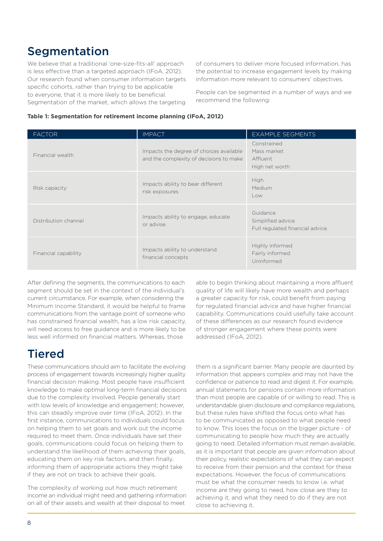### **Segmentation**

We believe that a traditional 'one-size-fits-all' approach is less effective than a targeted approach (IFoA, 2012). Our research found when consumer information targets specific cohorts, rather than trying to be applicable to everyone, that it is more likely to be beneficial. Segmentation of the market, which allows the targeting of consumers to deliver more focused information, has the potential to increase engagement levels by making information more relevant to consumers' objectives.

People can be segmented in a number of ways and we recommend the following:

### **Table 1: Segmentation for retirement income planning (IFoA, 2012)**

| <b>FACTOR</b>        | <b>IMPACT</b>                                                                      | <b>EXAMPLE SEGMENTS</b>                                          |
|----------------------|------------------------------------------------------------------------------------|------------------------------------------------------------------|
| Financial wealth     | Impacts the degree of choices available<br>and the complexity of decisions to make | Constrained<br>Mass market<br>Affluent<br>High net worth         |
| Risk capacity        | Impacts ability to bear different<br>risk exposures                                | High<br>Medium<br>Low                                            |
| Distribution channel | Impacts ability to engage, educate<br>or advise                                    | Guidance<br>Simplified advice<br>Full regulated financial advice |
| Financial capability | Impacts ability to understand<br>financial concepts                                | Highly informed<br>Fairly informed<br>Uninformed                 |

After defining the segments, the communications to each segment should be set in the context of the individual's current circumstance. For example, when considering the Minimum Income Standard, it would be helpful to frame communications from the vantage point of someone who has constrained financial wealth, has a low risk capacity, will need access to free guidance and is more likely to be less well informed on financial matters. Whereas, those

### Tiered

These communications should aim to facilitate the evolving process of engagement towards increasingly higher quality financial decision making. Most people have insufficient knowledge to make optimal long-term financial decisions due to the complexity involved. People generally start with low levels of knowledge and engagement; however, this can steadily improve over time (IFoA, 2012). In the first instance, communications to individuals could focus on helping them to set goals and work out the income required to meet them. Once individuals have set their goals, communications could focus on helping them to understand the likelihood of them achieving their goals, educating them on key risk factors, and then finally, informing them of appropriate actions they might take if they are not on track to achieve their goals.

The complexity of working out how much retirement income an individual might need and gathering information on all of their assets and wealth at their disposal to meet

able to begin thinking about maintaining a more affluent quality of life will likely have more wealth and perhaps a greater capacity for risk, could benefit from paying for regulated financial advice and have higher financial capability. Communications could usefully take account of these differences as our research found evidence of stronger engagement where these points were addressed (IFoA, 2012).

them is a significant barrier. Many people are daunted by information that appears complex and may not have the confidence or patience to read and digest it. For example, annual statements for pensions contain more information than most people are capable of or willing to read. This is understandable given disclosure and compliance regulations, but these rules have shifted the focus onto what has to be communicated as opposed to what people need to know. This loses the focus on the bigger picture - of communicating to people how much they are actually going to need. Detailed information must remain available, as it is important that people are given information about their policy, realistic expectations of what they can expect to receive from their pension and the context for these expectations. However, the focus of communications must be what the consumer needs to know i.e. what income are they going to need, how close are they to achieving it, and what they need to do if they are not close to achieving it.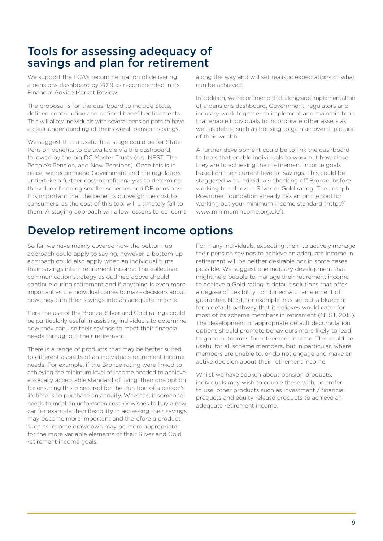### Tools for assessing adequacy of savings and plan for retirement

We support the FCA's recommendation of delivering a pensions dashboard by 2019 as recommended in its Financial Advice Market Review.

The proposal is for the dashboard to include State, defined contribution and defined benefit entitlements. This will allow individuals with several pension pots to have a clear understanding of their overall pension savings.

We suggest that a useful first stage could be for State Pension benefits to be available via the dashboard, followed by the big DC Master Trusts (e.g. NEST, The People's Pension, and Now Pensions). Once this is in place, we recommend Government and the regulators undertake a further cost-benefit analysis to determine the value of adding smaller schemes and DB pensions. It is important that the benefits outweigh the cost to consumers, as the cost of this tool will ultimately fall to them. A staging approach will allow lessons to be learnt

### Develop retirement income options

So far, we have mainly covered how the bottom-up approach could apply to saving, however, a bottom-up approach could also apply when an individual turns their savings into a retirement income. The collective communication strategy as outlined above should continue during retirement and if anything is even more important as the individual comes to make decisions about how they turn their savings into an adequate income.

Here the use of the Bronze, Silver and Gold ratings could be particularly useful in assisting individuals to determine how they can use their savings to meet their financial needs throughout their retirement.

There is a range of products that may be better suited to different aspects of an individuals retirement income needs. For example, if the Bronze rating were linked to achieving the minimum level of income needed to achieve a socially acceptable standard of living, then one option for ensuring this is secured for the duration of a person's lifetime is to purchase an annuity. Whereas, if someone needs to meet an unforeseen cost, or wishes to buy a new car for example then flexibility in accessing their savings may become more important and therefore a product such as income drawdown may be more appropriate for the more variable elements of their Silver and Gold retirement income goals.

along the way and will set realistic expectations of what can be achieved.

In addition, we recommend that alongside implementation of a pensions dashboard, Government, regulators and industry work together to implement and maintain tools that enable individuals to incorporate other assets as well as debts, such as housing to gain an overall picture of their wealth.

A further development could be to link the dashboard to tools that enable individuals to work out how close they are to achieving their retirement income goals based on their current level of savings. This could be staggered with individuals checking off Bronze, before working to achieve a Silver or Gold rating. The Joseph Rowntree Foundation already has an online tool for working out your minimum income standard (http:// www.minimumincome.org.uk/).

For many individuals, expecting them to actively manage their pension savings to achieve an adequate income in retirement will be neither desirable nor in some cases possible. We suggest one industry development that might help people to manage their retirement income to achieve a Gold rating is default solutions that offer a degree of flexibility combined with an element of guarantee. NEST, for example, has set out a blueprint for a default pathway that it believes would cater for most of its scheme members in retirement (NEST, 2015). The development of appropriate default decumulation options should promote behaviours more likely to lead to good outcomes for retirement income. This could be useful for all scheme members, but in particular, where members are unable to, or do not engage and make an active decision about their retirement income.

Whilst we have spoken about pension products, individuals may wish to couple these with, or prefer to use, other products such as investment / financial products and equity release products to achieve an adequate retirement income.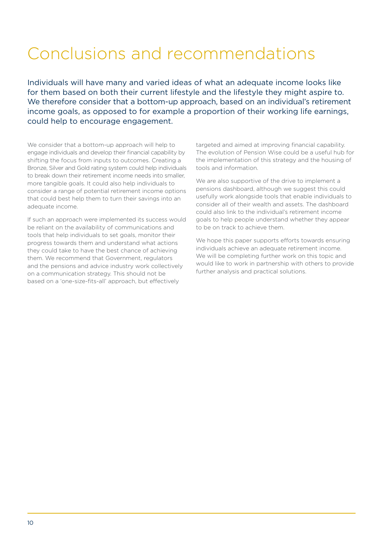## Conclusions and recommendations

Individuals will have many and varied ideas of what an adequate income looks like for them based on both their current lifestyle and the lifestyle they might aspire to. We therefore consider that a bottom-up approach, based on an individual's retirement income goals, as opposed to for example a proportion of their working life earnings, could help to encourage engagement.

We consider that a bottom-up approach will help to engage individuals and develop their financial capability by shifting the focus from inputs to outcomes. Creating a Bronze, Silver and Gold rating system could help individuals to break down their retirement income needs into smaller, more tangible goals. It could also help individuals to consider a range of potential retirement income options that could best help them to turn their savings into an adequate income.

If such an approach were implemented its success would be reliant on the availability of communications and tools that help individuals to set goals, monitor their progress towards them and understand what actions they could take to have the best chance of achieving them. We recommend that Government, regulators and the pensions and advice industry work collectively on a communication strategy. This should not be based on a 'one-size-fits-all' approach, but effectively

targeted and aimed at improving financial capability. The evolution of Pension Wise could be a useful hub for the implementation of this strategy and the housing of tools and information.

We are also supportive of the drive to implement a pensions dashboard, although we suggest this could usefully work alongside tools that enable individuals to consider all of their wealth and assets. The dashboard could also link to the individual's retirement income goals to help people understand whether they appear to be on track to achieve them.

We hope this paper supports efforts towards ensuring individuals achieve an adequate retirement income. We will be completing further work on this topic and would like to work in partnership with others to provide further analysis and practical solutions.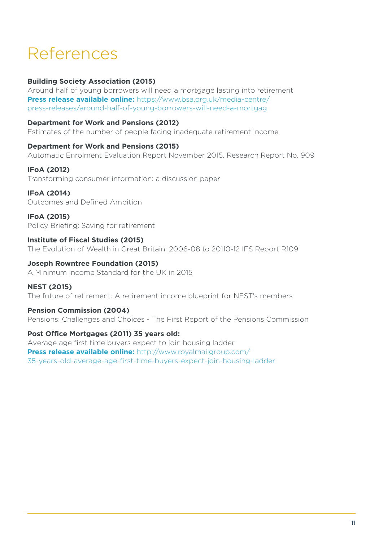## References

### **Building Society Association (2015)**

Around half of young borrowers will need a mortgage lasting into retirement **Press release available online:** https://www.bsa.org.uk/media-centre/ press-releases/around-half-of-young-borrowers-will-need-a-mortgag

### **Department for Work and Pensions (2012)**

Estimates of the number of people facing inadequate retirement income

### **Department for Work and Pensions (2015)**

Automatic Enrolment Evaluation Report November 2015, Research Report No. 909

### **IFoA (2012)**

Transforming consumer information: a discussion paper

### **IFoA (2014)**

Outcomes and Defined Ambition

### **IFoA (2015)**  Policy Briefing: Saving for retirement

### **Institute of Fiscal Studies (2015)**

The Evolution of Wealth in Great Britain: 2006-08 to 20110-12 IFS Report R109

### **Joseph Rowntree Foundation (2015)**

A Minimum Income Standard for the UK in 2015

### **NEST (2015)**

The future of retirement: A retirement income blueprint for NEST's members

### **Pension Commission (2004)**

Pensions: Challenges and Choices - The First Report of the Pensions Commission

### **Post Office Mortgages (2011) 35 years old:**

Average age first time buyers expect to join housing ladder **Press release available online:** http://www.royalmailgroup.com/ 35-years-old-average-age-first-time-buyers-expect-join-housing-ladder